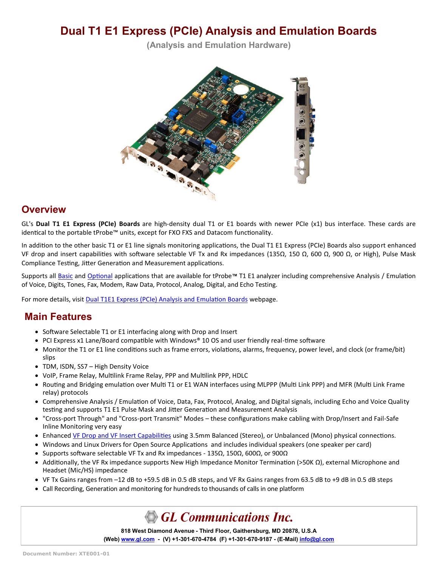# **Dual T1 E1 Express (PCIe) Analysis and Emulation Boards**

**(Analysis and Emulation Hardware)**



#### **Overview**

GL's **Dual T1 E1 Express (PCIe) Boards** are high-density dual T1 or E1 boards with newer PCIe (x1) bus interface. These cards are identical to the portable tProbe™ units, except for FXO FXS and Datacom functionality.

In addition to the other basic T1 or E1 line signals monitoring applications, the Dual T1 E1 Express (PCIe) Boards also support enhanced VF drop and insert capabilities with software selectable VF Tx and Rx impedances (135Ω, 150 Ω, 600 Ω, 900 Ω, or High), Pulse Mask Compliance Testing, Jitter Generation and Measurement applications.

Supports all [Basic](https://www.gl.com/dual-t1-e1-pcie-boards.html#t1e1-basic-apps) and [Optional](https://www.gl.com/dual-t1-e1-pcie-boards.html#t1e1-optional-apps) applications that are available for tProbe**™** T1 E1 analyzer including comprehensive Analysis / Emulation of Voice, Digits, Tones, Fax, Modem, Raw Data, Protocol, Analog, Digital, and Echo Testing.

For more details, visit [Dual T1E1 Express \(PCIe\) Analysis and Emulation Boards](https://www.gl.com/dual-t1-e1-pcie-boards.html) webpage.

#### **Main Features**

- Software Selectable T1 or E1 interfacing along with Drop and Insert
- PCI Express x1 Lane/Board compatible with Windows® 10 OS and user friendly real-time software
- Monitor the T1 or E1 line conditions such as frame errors, violations, alarms, frequency, power level, and clock (or frame/bit) slips
- TDM, ISDN, SS7 High Density Voice
- VoIP, Frame Relay, Multilink Frame Relay, PPP and Multilink PPP, HDLC
- Routing and Bridging emulation over Multi T1 or E1 WAN interfaces using MLPPP (Multi Link PPP) and MFR (Multi Link Frame relay) protocols
- Comprehensive Analysis / Emulation of Voice, Data, Fax, Protocol, Analog, and Digital signals, including Echo and Voice Quality testing and supports T1 E1 Pulse Mask and Jitter Generation and Measurement Analysis
- "Cross-port Through" and "Cross-port Transmit" Modes these configurations make cabling with Drop/Insert and Fail-Safe Inline Monitoring very easy
- Enhanced [VF Drop and VF Insert Capabilities](https://www.gl.com/vf-input-output-interfaces-t1-e1-products.html) using 3.5mm Balanced (Stereo), or Unbalanced (Mono) physical connections.
- Windows and Linux Drivers for Open Source Applications and includes individual speakers (one speaker per card)
- Supports software selectable VF Tx and Rx impedances 135Ω, 150Ω, 600Ω, or 900Ω
- Additionally, the VF Rx impedance supports New High Impedance Monitor Termination (>50K Ω), external Microphone and Headset (Mic/HS) impedance
- VF Tx Gains ranges from –12 dB to +59.5 dB in 0.5 dB steps, and VF Rx Gains ranges from 63.5 dB to +9 dB in 0.5 dB steps
- Call Recording, Generation and monitoring for hundreds to thousands of calls in one platform

**GL Communications Inc.** 

**818 West Diamond Avenue - Third Floor, Gaithersburg, MD 20878, U.S.A** (Web) [www.gl.com](https://www.gl.com) - (V) +1-301-670-4784 (F) +1-301-670-9187 - (E-Mail) [info@gl.com](https://www.gl.com/inforequestform.php)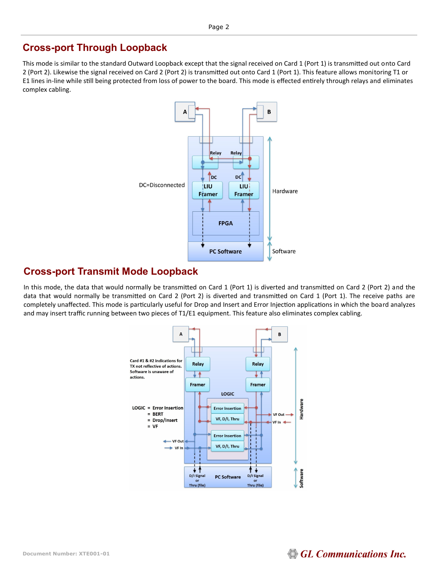#### **Cross-port Through Loopback**

This mode is similar to the standard Outward Loopback except that the signal received on Card 1 (Port 1) is transmitted out onto Card 2 (Port 2). Likewise the signal received on Card 2 (Port 2) is transmitted out onto Card 1 (Port 1). This feature allows monitoring T1 or E1 lines in-line while still being protected from loss of power to the board. This mode is effected entirely through relays and eliminates complex cabling.



#### **Cross-port Transmit Mode Loopback**

In this mode, the data that would normally be transmitted on Card 1 (Port 1) is diverted and transmitted on Card 2 (Port 2) and the data that would normally be transmitted on Card 2 (Port 2) is diverted and transmitted on Card 1 (Port 1). The receive paths are completely unaffected. This mode is particularly useful for Drop and Insert and Error Injection applications in which the board analyzes and may insert traffic running between two pieces of T1/E1 equipment. This feature also eliminates complex cabling.

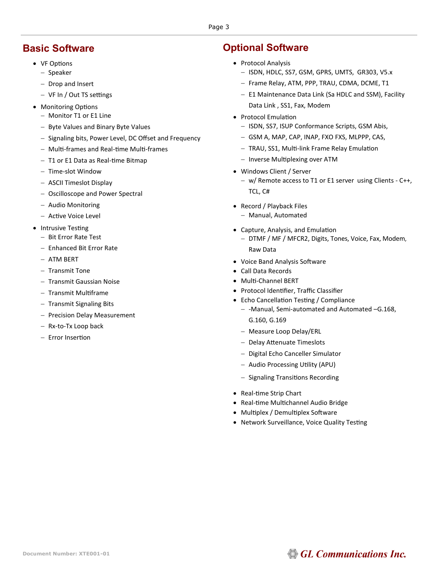#### Page 3

#### **Basic Software**

- VF Options
	- − Speaker
	- − Drop and Insert
	- − VF In / Out TS settings
- Monitoring Options
	- − Monitor T1 or E1 Line
	- − Byte Values and Binary Byte Values
	- − Signaling bits, Power Level, DC Offset and Frequency
	- − Multi-frames and Real-time Multi-frames
	- − T1 or E1 Data as Real-time Bitmap
	- − Time-slot Window
	- − ASCII Timeslot Display
	- − Oscilloscope and Power Spectral
	- − Audio Monitoring
	- − Active Voice Level
- Intrusive Testing
	- − Bit Error Rate Test
	- − Enhanced Bit Error Rate
	- − ATM BERT
	- − Transmit Tone
	- − Transmit Gaussian Noise
	- − Transmit Multiframe
	- − Transmit Signaling Bits
	- − Precision Delay Measurement
	- − Rx-to-Tx Loop back
	- − Error Insertion

#### **Optional Software**

- Protocol Analysis
	- − ISDN, HDLC, SS7, GSM, GPRS, UMTS, GR303, V5.x
	- − Frame Relay, ATM, PPP, TRAU, CDMA, DCME, T1
	- − E1 Maintenance Data Link (Sa HDLC and SSM), Facility Data Link , SS1, Fax, Modem
- Protocol Emulation
	- − ISDN, SS7, ISUP Conformance Scripts, GSM Abis,
	- − GSM A, MAP, CAP, INAP, FXO FXS, MLPPP, CAS,
	- − TRAU, SS1, Multi-link Frame Relay Emulation
	- − Inverse Multiplexing over ATM
- Windows Client / Server
	- − w/ Remote access to T1 or E1 server using Clients C++, TCL, C#
- Record / Playback Files
	- − Manual, Automated
- Capture, Analysis, and Emulation
	- − DTMF / MF / MFCR2, Digits, Tones, Voice, Fax, Modem, Raw Data
- Voice Band Analysis Software
- Call Data Records
- Multi-Channel BERT
- Protocol Identifier, Traffic Classifier
- Echo Cancellation Testing / Compliance
	- − -Manual, Semi-automated and Automated –G.168, G.160, G.169
	- − Measure Loop Delay/ERL
	- − Delay Attenuate Timeslots
	- − Digital Echo Canceller Simulator
	- − Audio Processing Utility (APU)
	- − Signaling Transitions Recording
- Real-time Strip Chart
- Real-time Multichannel Audio Bridge
- Multiplex / Demultiplex Software
- Network Surveillance, Voice Quality Testing

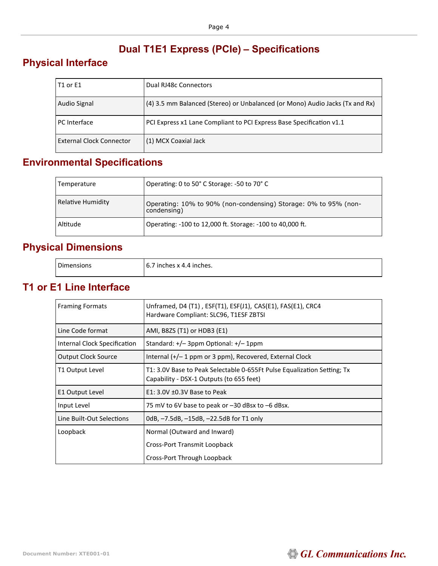## **Dual T1E1 Express (PCIe) – Specifications**

## **Physical Interface**

| T1 or E1                        | Dual RJ48c Connectors                                                        |
|---------------------------------|------------------------------------------------------------------------------|
| Audio Signal                    | (4) 3.5 mm Balanced (Stereo) or Unbalanced (or Mono) Audio Jacks (Tx and Rx) |
| PC Interface                    | PCI Express x1 Lane Compliant to PCI Express Base Specification v1.1         |
| <b>External Clock Connector</b> | (1) MCX Coaxial Jack                                                         |

## **Environmental Specifications**

| Temperature       | Operating: 0 to 50° C Storage: -50 to 70° C                                    |
|-------------------|--------------------------------------------------------------------------------|
| Relative Humidity | Operating: 10% to 90% (non-condensing) Storage: 0% to 95% (non-<br>condensing) |
| Altitude          | Operating: -100 to 12,000 ft. Storage: -100 to 40,000 ft.                      |

## **Physical Dimensions**

| ∩ime<br>.<br>nsions | 1 inches.<br>inches x<br>6<br>. 4.4 |
|---------------------|-------------------------------------|
|                     |                                     |

#### **T1 or E1 Line Interface**

| <b>Framing Formats</b>       | Unframed, D4 (T1), ESF(T1), ESF(J1), CAS(E1), FAS(E1), CRC4<br>Hardware Compliant: SLC96, T1ESF ZBTSI               |
|------------------------------|---------------------------------------------------------------------------------------------------------------------|
| Line Code format             | AMI, B8ZS (T1) or HDB3 (E1)                                                                                         |
| Internal Clock Specification | Standard: +/- 3ppm Optional: +/- 1ppm                                                                               |
| <b>Output Clock Source</b>   | Internal $(+/- 1$ ppm or 3 ppm), Recovered, External Clock                                                          |
| T1 Output Level              | T1: 3.0V Base to Peak Selectable 0-655Ft Pulse Equalization Setting; Tx<br>Capability - DSX-1 Outputs (to 655 feet) |
| E1 Output Level              | $E1: 3.0V \pm 0.3V$ Base to Peak                                                                                    |
| Input Level                  | 75 mV to 6V base to peak or -30 dBsx to -6 dBsx.                                                                    |
| Line Built-Out Selections    | 0dB, $-7.5$ dB, $-15$ dB, $-22.5$ dB for T1 only                                                                    |
| Loopback                     | Normal (Outward and Inward)                                                                                         |
|                              | Cross-Port Transmit Loopback                                                                                        |
|                              | Cross-Port Through Loopback                                                                                         |

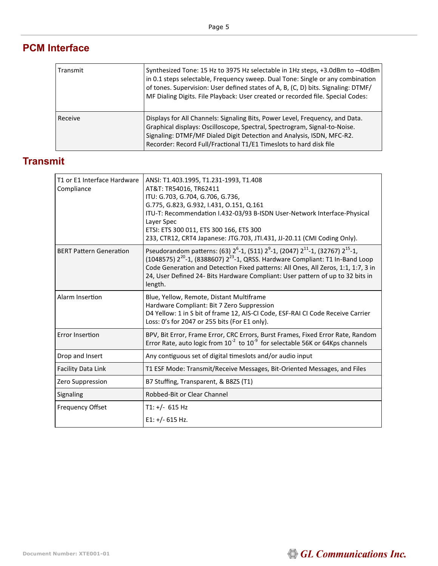## **PCM Interface**

| Transmit | Synthesized Tone: 15 Hz to 3975 Hz selectable in 1Hz steps, +3.0dBm to -40dBm<br>in 0.1 steps selectable, Frequency sweep. Dual Tone: Single or any combination<br>of tones. Supervision: User defined states of A, B, (C, D) bits. Signaling: DTMF/<br>MF Dialing Digits. File Playback: User created or recorded file. Special Codes: |
|----------|-----------------------------------------------------------------------------------------------------------------------------------------------------------------------------------------------------------------------------------------------------------------------------------------------------------------------------------------|
| Receive  | Displays for All Channels: Signaling Bits, Power Level, Frequency, and Data.<br>Graphical displays: Oscilloscope, Spectral, Spectrogram, Signal-to-Noise.<br>Signaling: DTMF/MF Dialed Digit Detection and Analysis, ISDN, MFC-R2.<br>Recorder: Record Full/Fractional T1/E1 Timeslots to hard disk file                                |

## **Transmit**

| T1 or E1 Interface Hardware<br>Compliance | ANSI: T1.403.1995, T1.231-1993, T1.408<br>AT&T: TR54016, TR62411<br>ITU: G.703, G.704, G.706, G.736,<br>G.775, G.823, G.932, I.431, O.151, Q.161<br>ITU-T: Recommendation I.432-03/93 B-ISDN User-Network Interface-Physical<br>Laver Spec<br>ETSI: ETS 300 011, ETS 300 166, ETS 300<br>233, CTR12, CRT4 Japanese: JTG.703, JTI.431, JJ-20.11 (CMI Coding Only).                                           |
|-------------------------------------------|-------------------------------------------------------------------------------------------------------------------------------------------------------------------------------------------------------------------------------------------------------------------------------------------------------------------------------------------------------------------------------------------------------------|
| <b>BERT Pattern Generation</b>            | Pseudorandom patterns: (63) 2 <sup>6</sup> -1, (511) 2 <sup>9</sup> -1, (2047) 2 <sup>11</sup> -1, (32767) 2 <sup>15</sup> -1,<br>(1048575) $2^{20}$ -1, (8388607) $2^{23}$ -1, QRSS. Hardware Compliant: T1 In-Band Loop<br>Code Generation and Detection Fixed patterns: All Ones, All Zeros, 1:1, 1:7, 3 in<br>24, User Defined 24- Bits Hardware Compliant: User pattern of up to 32 bits in<br>length. |
| Alarm Insertion                           | Blue, Yellow, Remote, Distant Multiframe<br>Hardware Compliant: Bit 7 Zero Suppression<br>D4 Yellow: 1 in S bit of frame 12, AIS-CI Code, ESF-RAI CI Code Receive Carrier<br>Loss: 0's for 2047 or 255 bits (For E1 only).                                                                                                                                                                                  |
| <b>Error Insertion</b>                    | BPV, Bit Error, Frame Error, CRC Errors, Burst Frames, Fixed Error Rate, Random<br>Error Rate, auto logic from $10^{-2}$ to $10^{-9}$ for selectable 56K or 64Kps channels                                                                                                                                                                                                                                  |
| Drop and Insert                           | Any contiguous set of digital timeslots and/or audio input                                                                                                                                                                                                                                                                                                                                                  |
| <b>Facility Data Link</b>                 | T1 ESF Mode: Transmit/Receive Messages, Bit-Oriented Messages, and Files                                                                                                                                                                                                                                                                                                                                    |
| Zero Suppression                          | B7 Stuffing, Transparent, & B8ZS (T1)                                                                                                                                                                                                                                                                                                                                                                       |
| Signaling                                 | Robbed-Bit or Clear Channel                                                                                                                                                                                                                                                                                                                                                                                 |
| <b>Frequency Offset</b>                   | $T1: +/- 615 Hz$                                                                                                                                                                                                                                                                                                                                                                                            |
|                                           | E1: $+/- 615$ Hz.                                                                                                                                                                                                                                                                                                                                                                                           |

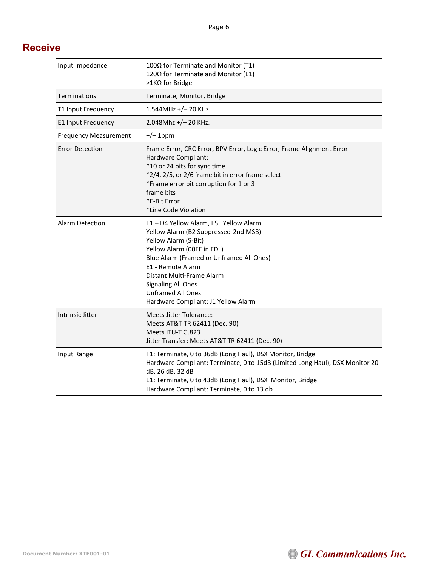#### **Receive**

| Input Impedance              | 100Ω for Terminate and Monitor (T1)<br>120Ω for Terminate and Monitor (E1)<br>>1KΩ for Bridge                                                                                                                                                                                                                                      |
|------------------------------|------------------------------------------------------------------------------------------------------------------------------------------------------------------------------------------------------------------------------------------------------------------------------------------------------------------------------------|
| Terminations                 | Terminate, Monitor, Bridge                                                                                                                                                                                                                                                                                                         |
| T1 Input Frequency           | 1.544MHz +/-20 KHz.                                                                                                                                                                                                                                                                                                                |
| E1 Input Frequency           | 2.048Mhz +/-20 KHz.                                                                                                                                                                                                                                                                                                                |
| <b>Frequency Measurement</b> | $+/- 1$ ppm                                                                                                                                                                                                                                                                                                                        |
| <b>Error Detection</b>       | Frame Error, CRC Error, BPV Error, Logic Error, Frame Alignment Error<br>Hardware Compliant:<br>*10 or 24 bits for sync time<br>*2/4, 2/5, or 2/6 frame bit in error frame select<br>*Frame error bit corruption for 1 or 3<br>frame bits<br>*E-Bit Error<br>*Line Code Violation                                                  |
| Alarm Detection              | T1 - D4 Yellow Alarm, ESF Yellow Alarm<br>Yellow Alarm (B2 Suppressed-2nd MSB)<br>Yellow Alarm (S-Bit)<br>Yellow Alarm (00FF in FDL)<br>Blue Alarm (Framed or Unframed All Ones)<br>E1 - Remote Alarm<br>Distant Multi-Frame Alarm<br><b>Signaling All Ones</b><br><b>Unframed All Ones</b><br>Hardware Compliant: J1 Yellow Alarm |
| Intrinsic Jitter             | <b>Meets Jitter Tolerance:</b><br>Meets AT&T TR 62411 (Dec. 90)<br>Meets ITU-T G.823<br>Jitter Transfer: Meets AT&T TR 62411 (Dec. 90)                                                                                                                                                                                             |
| Input Range                  | T1: Terminate, 0 to 36dB (Long Haul), DSX Monitor, Bridge<br>Hardware Compliant: Terminate, 0 to 15dB (Limited Long Haul), DSX Monitor 20<br>dB, 26 dB, 32 dB<br>E1: Terminate, 0 to 43dB (Long Haul), DSX Monitor, Bridge<br>Hardware Compliant: Terminate, 0 to 13 db                                                            |

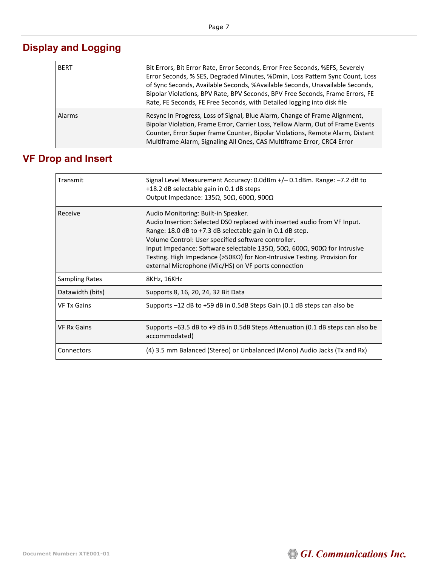| <b>BERT</b>   | Bit Errors, Bit Error Rate, Error Seconds, Error Free Seconds, %EFS, Severely<br>Error Seconds, % SES, Degraded Minutes, %Dmin, Loss Pattern Sync Count, Loss<br>of Sync Seconds, Available Seconds, %Available Seconds, Unavailable Seconds,<br>Bipolar Violations, BPV Rate, BPV Seconds, BPV Free Seconds, Frame Errors, FE<br>Rate, FE Seconds, FE Free Seconds, with Detailed logging into disk file |
|---------------|-----------------------------------------------------------------------------------------------------------------------------------------------------------------------------------------------------------------------------------------------------------------------------------------------------------------------------------------------------------------------------------------------------------|
| <b>Alarms</b> | Resync In Progress, Loss of Signal, Blue Alarm, Change of Frame Alignment,<br>Bipolar Violation, Frame Error, Carrier Loss, Yellow Alarm, Out of Frame Events<br>Counter, Error Super frame Counter, Bipolar Violations, Remote Alarm, Distant<br>Multiframe Alarm, Signaling All Ones, CAS Multiframe Error, CRC4 Error                                                                                  |

## **Display and Logging**

 $\mathbf{r}$ 

# **VF Drop and Insert**

| Transmit              | Signal Level Measurement Accuracy: 0.0dBm +/-0.1dBm. Range: -7.2 dB to<br>+18.2 dB selectable gain in 0.1 dB steps<br>Output Impedance: 135Ω, 50Ω, 600Ω, 900Ω                                                                                                                                                                                                                                                                                                                          |
|-----------------------|----------------------------------------------------------------------------------------------------------------------------------------------------------------------------------------------------------------------------------------------------------------------------------------------------------------------------------------------------------------------------------------------------------------------------------------------------------------------------------------|
| Receive               | Audio Monitoring: Built-in Speaker.<br>Audio Insertion: Selected DS0 replaced with inserted audio from VF Input.<br>Range: 18.0 dB to +7.3 dB selectable gain in 0.1 dB step.<br>Volume Control: User specified software controller.<br>Input Impedance: Software selectable 135 $\Omega$ , 50 $\Omega$ , 600 $\Omega$ , 900 $\Omega$ for Intrusive<br>Testing. High Impedance (>50KΩ) for Non-Intrusive Testing. Provision for<br>external Microphone (Mic/HS) on VF ports connection |
| <b>Sampling Rates</b> | 8KHz, 16KHz                                                                                                                                                                                                                                                                                                                                                                                                                                                                            |
| Datawidth (bits)      | Supports 8, 16, 20, 24, 32 Bit Data                                                                                                                                                                                                                                                                                                                                                                                                                                                    |
| <b>VF Tx Gains</b>    | Supports -12 dB to +59 dB in 0.5dB Steps Gain (0.1 dB steps can also be                                                                                                                                                                                                                                                                                                                                                                                                                |
| <b>VF Rx Gains</b>    | Supports -63.5 dB to +9 dB in 0.5dB Steps Attenuation (0.1 dB steps can also be<br>accommodated)                                                                                                                                                                                                                                                                                                                                                                                       |
| Connectors            | (4) 3.5 mm Balanced (Stereo) or Unbalanced (Mono) Audio Jacks (Tx and Rx)                                                                                                                                                                                                                                                                                                                                                                                                              |